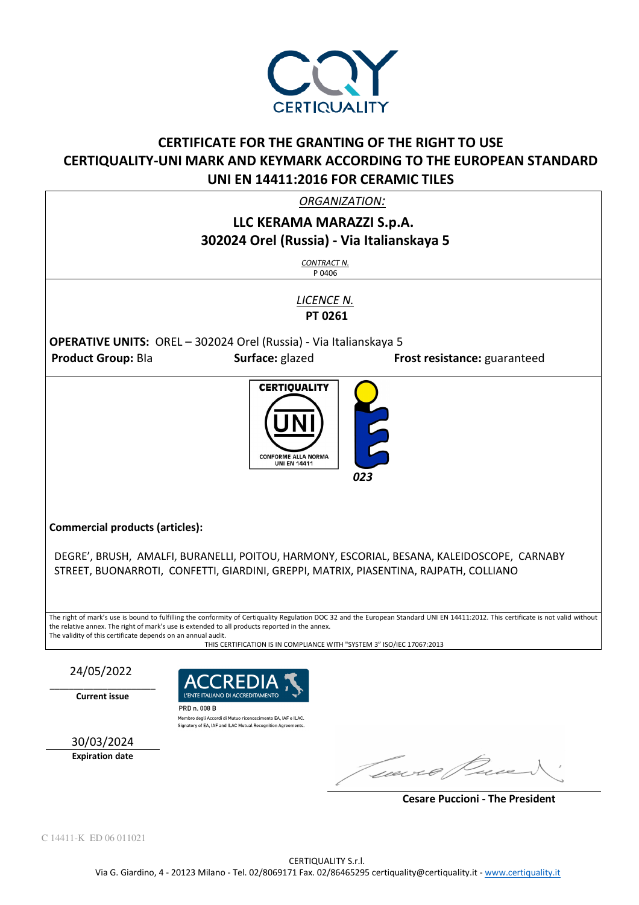

# **CERTIFICATE FOR THE GRANTING OF THE RIGHT TO USE CERTIQUALITY-UNI MARK AND KEYMARK ACCORDING TO THE EUROPEAN STANDARD UNI EN 14411:2016 FOR CERAMIC TILES**

*ORGANIZATION:* 

## **LLC KERAMA MARAZZI S.p.A. 302024 Orel (Russia) - Via Italianskaya 5**

*CONTRACT N.* P 0406

*LICENCE N.*   **PT 0261** 

**OPERATIVE UNITS:** OREL – 302024 Orel (Russia) - Via Italianskaya 5 **Product Group:** Bla **Surface:** glazed **Frost resistance:** guaranteed



**Commercial products (articles):** 

DEGRE', BRUSH, AMALFI, BURANELLI, POITOU, HARMONY, ESCORIAL, BESANA, KALEIDOSCOPE, CARNABY STREET, BUONARROTI, CONFETTI, GIARDINI, GREPPI, MATRIX, PIASENTINA, RAJPATH, COLLIANO

The right of mark's use is bound to fulfilling the conformity of Certiquality Regulation DOC 32 and the European Standard UNI EN 14411:2012. This certificate is not valid without the relative annex. The right of mark's use is extended to all products reported in the annex. The validity of this certificate depends on an annual audit.

THIS CERTIFICATION IS IN COMPLIANCE WITH "SYSTEM 3" ISO/IEC 17067:2013

24/05/2022

\_\_\_\_\_\_\_\_\_\_\_\_\_\_\_\_\_\_\_\_\_\_ **Current issue** 



30/03/2024

**Expiration date** 

Gebort C

 **Cesare Puccioni - The President**

C 14411-K ED 06 011021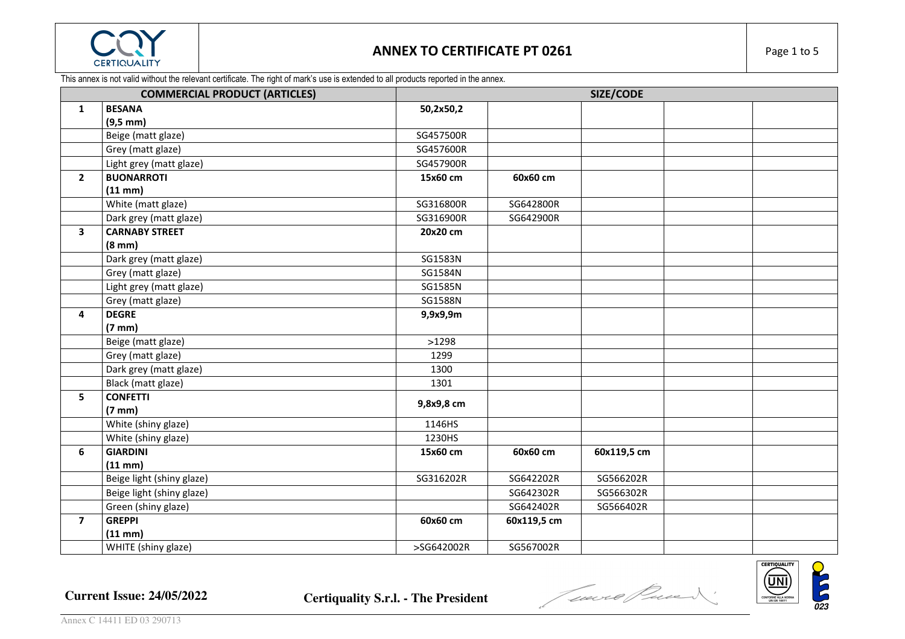

This annex is not valid without the relevant certificate. The right of mark's use is extended to all products reported in the annex.

|                         | <b>COMMERCIAL PRODUCT (ARTICLES)</b> |            |             | SIZE/CODE   |  |
|-------------------------|--------------------------------------|------------|-------------|-------------|--|
| $\mathbf{1}$            | <b>BESANA</b>                        | 50,2x50,2  |             |             |  |
|                         | $(9,5 \, mm)$                        |            |             |             |  |
|                         | Beige (matt glaze)                   | SG457500R  |             |             |  |
|                         | Grey (matt glaze)                    | SG457600R  |             |             |  |
|                         | Light grey (matt glaze)              | SG457900R  |             |             |  |
| $\overline{2}$          | <b>BUONARROTI</b>                    | 15x60 cm   | 60x60 cm    |             |  |
|                         | $(11$ mm $)$                         |            |             |             |  |
|                         | White (matt glaze)                   | SG316800R  | SG642800R   |             |  |
|                         | Dark grey (matt glaze)               | SG316900R  | SG642900R   |             |  |
| $\overline{\mathbf{3}}$ | <b>CARNABY STREET</b>                | 20x20 cm   |             |             |  |
|                         | $(8 \text{ mm})$                     |            |             |             |  |
|                         | Dark grey (matt glaze)               | SG1583N    |             |             |  |
|                         | Grey (matt glaze)                    | SG1584N    |             |             |  |
|                         | Light grey (matt glaze)              | SG1585N    |             |             |  |
|                         | Grey (matt glaze)                    | SG1588N    |             |             |  |
| 4                       | <b>DEGRE</b>                         | 9,9x9,9m   |             |             |  |
|                         | $(7 \text{ mm})$                     |            |             |             |  |
|                         | Beige (matt glaze)                   | >1298      |             |             |  |
|                         | Grey (matt glaze)                    | 1299       |             |             |  |
|                         | Dark grey (matt glaze)               | 1300       |             |             |  |
|                         | Black (matt glaze)                   | 1301       |             |             |  |
| 5                       | <b>CONFETTI</b>                      | 9,8x9,8 cm |             |             |  |
|                         | $(7 \text{ mm})$                     |            |             |             |  |
|                         | White (shiny glaze)                  | 1146HS     |             |             |  |
|                         | White (shiny glaze)                  | 1230HS     |             |             |  |
| 6                       | <b>GIARDINI</b>                      | 15x60 cm   | 60x60 cm    | 60x119,5 cm |  |
|                         | $(11 \text{ mm})$                    |            |             |             |  |
|                         | Beige light (shiny glaze)            | SG316202R  | SG642202R   | SG566202R   |  |
|                         | Beige light (shiny glaze)            |            | SG642302R   | SG566302R   |  |
|                         | Green (shiny glaze)                  |            | SG642402R   | SG566402R   |  |
| $\overline{\mathbf{z}}$ | <b>GREPPI</b>                        | 60x60 cm   | 60x119,5 cm |             |  |
|                         | $(11$ mm $)$                         |            |             |             |  |
|                         | WHITE (shiny glaze)                  | >SG642002R | SG567002R   |             |  |



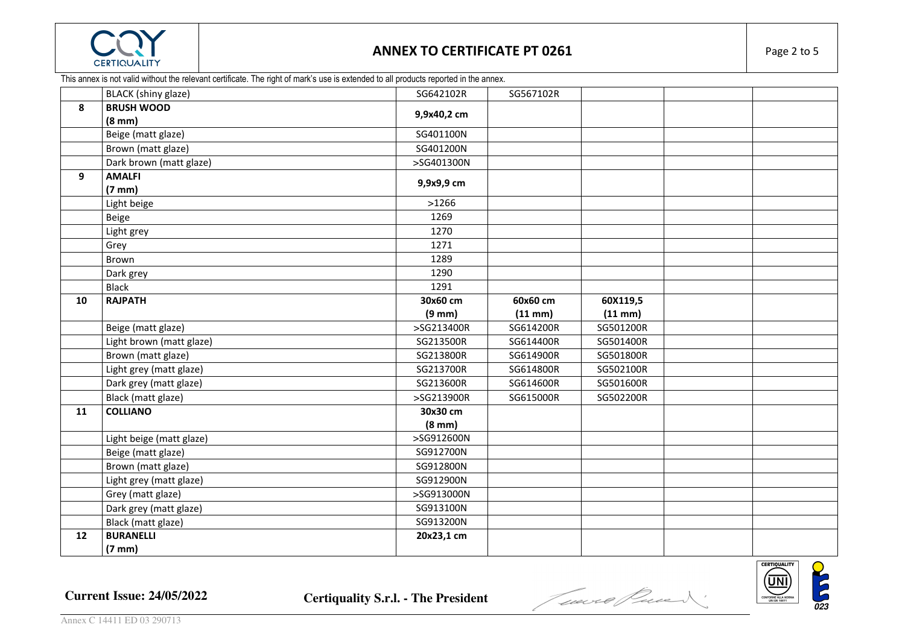

#### This annex is not valid without the relevant certificate. The right of mark's use is extended to all products reported in the annex.

|    | BLACK (shiny glaze)      | SG642102R        | SG567102R    |              |  |
|----|--------------------------|------------------|--------------|--------------|--|
| 8  | <b>BRUSH WOOD</b>        | 9,9x40,2 cm      |              |              |  |
|    | $(8 \text{ mm})$         |                  |              |              |  |
|    | Beige (matt glaze)       | SG401100N        |              |              |  |
|    | Brown (matt glaze)       | SG401200N        |              |              |  |
|    | Dark brown (matt glaze)  | >SG401300N       |              |              |  |
| 9  | <b>AMALFI</b>            | 9,9x9,9 cm       |              |              |  |
|    | $(7 \text{ mm})$         |                  |              |              |  |
|    | Light beige              | >1266            |              |              |  |
|    | Beige                    | 1269             |              |              |  |
|    | Light grey               | 1270             |              |              |  |
|    | Grey                     | 1271             |              |              |  |
|    | Brown                    | 1289             |              |              |  |
|    | Dark grey                | 1290             |              |              |  |
|    | <b>Black</b>             | 1291             |              |              |  |
| 10 | <b>RAJPATH</b>           | 30x60 cm         | 60x60 cm     | 60X119,5     |  |
|    |                          | $(9 \text{ mm})$ | $(11$ mm $)$ | $(11$ mm $)$ |  |
|    | Beige (matt glaze)       | >SG213400R       | SG614200R    | SG501200R    |  |
|    | Light brown (matt glaze) | SG213500R        | SG614400R    | SG501400R    |  |
|    | Brown (matt glaze)       | SG213800R        | SG614900R    | SG501800R    |  |
|    | Light grey (matt glaze)  | SG213700R        | SG614800R    | SG502100R    |  |
|    | Dark grey (matt glaze)   | SG213600R        | SG614600R    | SG501600R    |  |
|    | Black (matt glaze)       | >SG213900R       | SG615000R    | SG502200R    |  |
| 11 | <b>COLLIANO</b>          | 30x30 cm         |              |              |  |
|    |                          | $(8 \text{ mm})$ |              |              |  |
|    | Light beige (matt glaze) | >SG912600N       |              |              |  |
|    | Beige (matt glaze)       | SG912700N        |              |              |  |
|    | Brown (matt glaze)       | SG912800N        |              |              |  |
|    | Light grey (matt glaze)  | SG912900N        |              |              |  |
|    | Grey (matt glaze)        | >SG913000N       |              |              |  |
|    | Dark grey (matt glaze)   | SG913100N        |              |              |  |
|    | Black (matt glaze)       | SG913200N        |              |              |  |
| 12 | <b>BURANELLI</b>         | 20x23,1 cm       |              |              |  |
|    | $(7 \text{ mm})$         |                  |              |              |  |



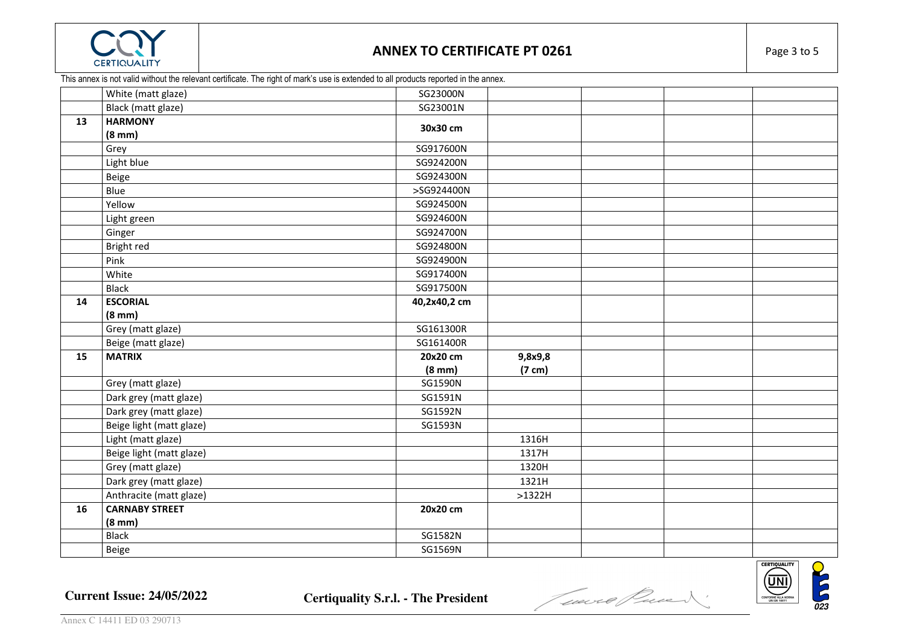

## **ANNEX TO CERTIFICATE PT 0261** Page 3 to 5

This annex is not valid without the relevant certificate. The right of mark's use is extended to all products reported in the annex.

| White (matt glaze)       | SG23000N                                                                                                                                                                                                        |                                             |                 |  |
|--------------------------|-----------------------------------------------------------------------------------------------------------------------------------------------------------------------------------------------------------------|---------------------------------------------|-----------------|--|
| Black (matt glaze)       | SG23001N                                                                                                                                                                                                        |                                             |                 |  |
| <b>HARMONY</b>           |                                                                                                                                                                                                                 |                                             |                 |  |
| $(8 \text{ mm})$         |                                                                                                                                                                                                                 |                                             |                 |  |
| Grey                     | SG917600N                                                                                                                                                                                                       |                                             |                 |  |
| Light blue               | SG924200N                                                                                                                                                                                                       |                                             |                 |  |
| Beige                    | SG924300N                                                                                                                                                                                                       |                                             |                 |  |
| Blue                     | >SG924400N                                                                                                                                                                                                      |                                             |                 |  |
| Yellow                   | SG924500N                                                                                                                                                                                                       |                                             |                 |  |
| Light green              | SG924600N                                                                                                                                                                                                       |                                             |                 |  |
| Ginger                   | SG924700N                                                                                                                                                                                                       |                                             |                 |  |
| Bright red               | SG924800N                                                                                                                                                                                                       |                                             |                 |  |
| Pink                     | SG924900N                                                                                                                                                                                                       |                                             |                 |  |
| White                    | SG917400N                                                                                                                                                                                                       |                                             |                 |  |
| <b>Black</b>             | SG917500N                                                                                                                                                                                                       |                                             |                 |  |
| <b>ESCORIAL</b>          | 40,2x40,2 cm                                                                                                                                                                                                    |                                             |                 |  |
| $(8 \text{ mm})$         |                                                                                                                                                                                                                 |                                             |                 |  |
|                          |                                                                                                                                                                                                                 |                                             |                 |  |
| Beige (matt glaze)       | SG161400R                                                                                                                                                                                                       |                                             |                 |  |
|                          | 20x20 cm                                                                                                                                                                                                        | 9,8x9,8                                     |                 |  |
|                          | $(8 \text{ mm})$                                                                                                                                                                                                |                                             |                 |  |
|                          |                                                                                                                                                                                                                 |                                             |                 |  |
|                          |                                                                                                                                                                                                                 |                                             |                 |  |
|                          | SG1592N                                                                                                                                                                                                         |                                             |                 |  |
|                          | SG1593N                                                                                                                                                                                                         |                                             |                 |  |
|                          |                                                                                                                                                                                                                 |                                             |                 |  |
| Beige light (matt glaze) |                                                                                                                                                                                                                 | 1317H                                       |                 |  |
| Grey (matt glaze)        |                                                                                                                                                                                                                 | 1320H                                       |                 |  |
| Dark grey (matt glaze)   |                                                                                                                                                                                                                 | 1321H                                       |                 |  |
| Anthracite (matt glaze)  |                                                                                                                                                                                                                 | $>1322H$                                    |                 |  |
|                          | 20x20 cm                                                                                                                                                                                                        |                                             |                 |  |
| $(8 \text{ mm})$         |                                                                                                                                                                                                                 |                                             |                 |  |
|                          | SG1582N                                                                                                                                                                                                         |                                             |                 |  |
|                          | SG1569N                                                                                                                                                                                                         |                                             |                 |  |
|                          | Grey (matt glaze)<br><b>MATRIX</b><br>Grey (matt glaze)<br>Dark grey (matt glaze)<br>Dark grey (matt glaze)<br>Beige light (matt glaze)<br>Light (matt glaze)<br><b>CARNABY STREET</b><br><b>Black</b><br>Beige | 30x30 cm<br>SG161300R<br>SG1590N<br>SG1591N | (7 cm)<br>1316H |  |

Current Issue: 24/05/2022 Certiquality S.r.l. - The President **Contract of Constanting Constant** of the Constant